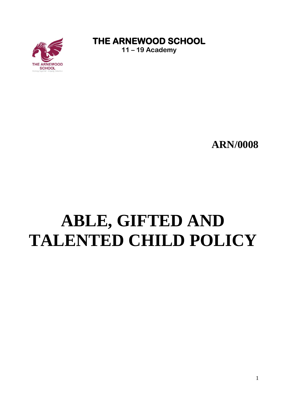

THE ARNEWOOD SCHOOL

 $11 - 19$  Academy

## **ARN/0008**

# ABLE, GIFTED AND **TALENTED CHILD POLICY**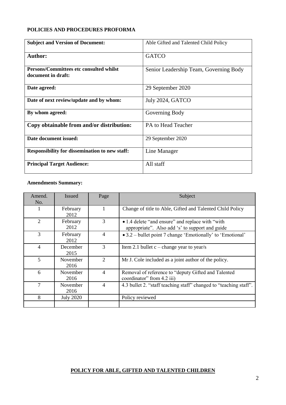#### **POLICIES AND PROCEDURES PROFORMA**

| <b>Subject and Version of Document:</b>                       | Able Gifted and Talented Child Policy  |
|---------------------------------------------------------------|----------------------------------------|
| <b>Author:</b>                                                | <b>GATCO</b>                           |
| Persons/Committees etc consulted whilst<br>document in draft: | Senior Leadership Team, Governing Body |
| Date agreed:                                                  | 29 September 2020                      |
| Date of next review/update and by whom:                       | July 2024, GATCO                       |
| By whom agreed:                                               | Governing Body                         |
| Copy obtainable from and/or distribution:                     | PA to Head Teacher                     |
| Date document issued:                                         | 29 September 2020                      |
| Responsibility for dissemination to new staff:                | Line Manager                           |
| <b>Principal Target Audience:</b>                             | All staff                              |

### **Amendments Summary:**

| Amend.<br>No.               | <b>Issued</b>    | Page           | Subject                                                                                              |
|-----------------------------|------------------|----------------|------------------------------------------------------------------------------------------------------|
|                             | February<br>2012 | $\mathbf{1}$   | Change of title to Able, Gifted and Talented Child Policy                                            |
| $\mathcal{D}_{\mathcal{L}}$ | February<br>2012 | 3              | • 1.4 delete "and ensure" and replace with "with"<br>appropriate". Also add 's' to support and guide |
| 3                           | February<br>2012 | $\overline{4}$ | • 3.2 – bullet point 7 change 'Emotionally' to 'Emotional'                                           |
| $\overline{4}$              | December<br>2015 | 3              | Item 2.1 bullet $c$ – change year to year/s                                                          |
| 5                           | November<br>2016 | 2              | Mr J. Cole included as a joint author of the policy.                                                 |
| 6                           | November<br>2016 | $\overline{4}$ | Removal of reference to "deputy Gifted and Talented<br>coordinator" from 4.2 iii)                    |
| 7                           | November<br>2016 | $\overline{4}$ | 4.3 bullet 2. "staff teaching staff" changed to "teaching staff".                                    |
| 8                           | <b>July 2020</b> |                | Policy reviewed                                                                                      |

#### **POLICY FOR ABLE, GIFTED AND TALENTED CHILDREN**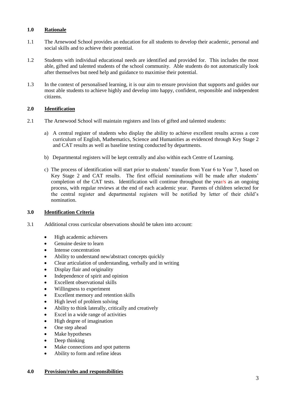#### **1.0 Rationale**

- 1.1 The Arnewood School provides an education for all students to develop their academic, personal and social skills and to achieve their potential.
- 1.2 Students with individual educational needs are identified and provided for. This includes the most able, gifted and talented students of the school community. Able students do not automatically look after themselves but need help and guidance to maximise their potential.
- 1.3 In the context of personalised learning, it is our aim to ensure provision that supports and guides our most able students to achieve highly and develop into happy, confident, responsible and independent citizens.

#### **2.0 Identification**

- 2.1 The Arnewood School will maintain registers and lists of gifted and talented students:
	- a) A central register of students who display the ability to achieve excellent results across a core curriculum of English, Mathematics, Science and Humanities as evidenced through Key Stage 2 and CAT results as well as baseline testing conducted by departments.
	- b) Departmental registers will be kept centrally and also within each Centre of Learning.
	- c) The process of identification will start prior to students' transfer from Year 6 to Year 7, based on Key Stage 2 and CAT results. The first official nominations will be made after students' completion of the CAT tests. Identification will continue throughout the year/s as an ongoing process, with regular reviews at the end of each academic year. Parents of children selected for the central register and departmental registers will be notified by letter of their child's nomination.

#### **3.0 Identification Criteria**

- 3.1 Additional cross curricular observations should be taken into account:
	- High academic achievers
	- Genuine desire to learn
	- Intense concentration
	- Ability to understand new/abstract concepts quickly
	- Clear articulation of understanding, verbally and in writing
	- Display flair and originality
	- Independence of spirit and opinion
	- Excellent observational skills
	- Willingness to experiment
	- Excellent memory and retention skills
	- High level of problem solving
	- Ability to think laterally, critically and creatively
	- Excel in a wide range of activities
	- High degree of imagination
	- One step ahead
	- Make hypotheses
	- Deep thinking
	- Make connections and spot patterns
	- Ability to form and refine ideas

#### **4.0 Provision/roles and responsibilities**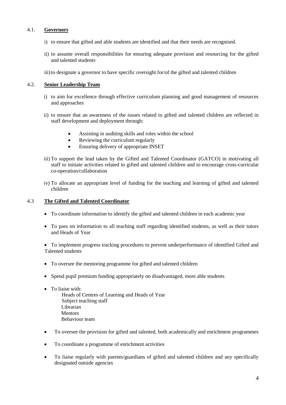#### 4.1. **Governors**

- i) to ensure that gifted and able students are identified and that their needs are recognised.
- ii) to assume overall responsibilities for ensuring adequate provision and resourcing for the gifted and talented students
- iii)to designate a governor to have specific oversight for/of the gifted and talented children

#### 4.2. **Senior Leadership Team**

- i) to aim for excellence through effective curriculum planning and good management of resources and approaches
- ii) to ensure that an awareness of the issues related to gifted and talented children are reflected in staff development and deployment through:
	- Assisting in auditing skills and roles within the school
	- Reviewing the curriculum regularly
	- Ensuring delivery of appropriate INSET
- iii) To support the lead taken by the Gifted and Talented Coordinator (GATCO) in motivating all staff to initiate activities related to gifted and talented children and to encourage cross-curricular co-operation/collaboration
- iv) To allocate an appropriate level of funding for the teaching and learning of gifted and talented children

#### 4.3 **The Gifted and Talented Coordinator**

- To coordinate information to identify the gifted and talented children in each academic year
- To pass on information to all teaching staff regarding identified students, as well as their tutors and Heads of Year

• To implement progress tracking procedures to prevent underperformance of identified Gifted and Talented students

- To oversee the mentoring programme for gifted and talented children
- Spend pupil premium funding appropriately on disadvantaged, more able students
- To liaise with:
	- Heads of Centres of Learning and Heads of Year Subject teaching staff Librarian Mentors Behaviour team
- To oversee the provision for gifted and talented, both academically and enrichment programmes
- To coordinate a programme of enrichment activities
- To liaise regularly with parents/guardians of gifted and talented children and any specifically designated outside agencies